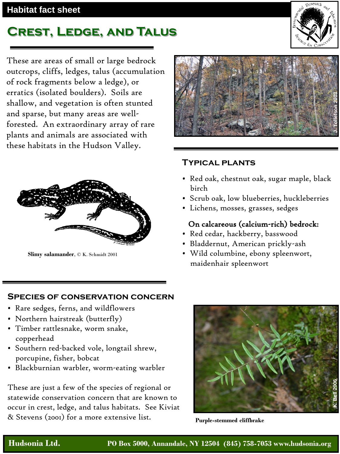## **Habitat fact sheet**

# **Crest, Ledge, and Talus**

These are areas of small or large bedrock outcrops, cliffs, ledges, talus (accumulation of rock fragments below a ledge), or erratics (isolated boulders). Soils are shallow, and vegetation is often stunted and sparse, but many areas are wellforested. An extraordinary array of rare plants and animals are associated with these habitats in the Hudson Valley.



**Slimy salamander**, © K. Schmidt 2001



#### **Typical plants**

- Red oak, chestnut oak, sugar maple, black birch
- Scrub oak, low blueberries, huckleberries
- Lichens, mosses, grasses, sedges

### On calcareous (calcium-rich) bedrock:

- Red cedar, hackberry, basswood
- Bladdernut, American prickly-ash
- Wild columbine, ebony spleenwort, maidenhair spleenwort

#### **Species of conservation concern**

- Rare sedges, ferns, and wildflowers
- Northern hairstreak (butterfly)
- Timber rattlesnake, worm snake, copperhead
- Southern red-backed vole, longtail shrew, porcupine, fisher, bobcat
- Blackburnian warbler, worm-eating warbler

These are just a few of the species of regional or statewide conservation concern that are known to occur in crest, ledge, and talus habitats. See Kiviat & Stevens (2001) for a more extensive list.



**Purple-stemmed cliffbrake**